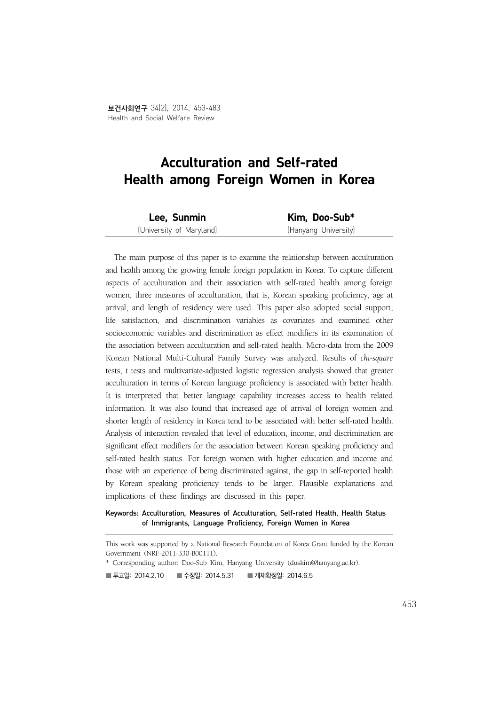# Acculturation and Self-rated Health among Foreign Women in Korea

| Lee, Sunmin              | Kim, Doo-Sub*        |
|--------------------------|----------------------|
| (University of Maryland) | (Hanyang University) |

The main purpose of this paper is to examine the relationship between acculturation and health among the growing female foreign population in Korea. To capture different aspects of acculturation and their association with self-rated health among foreign women, three measures of acculturation, that is, Korean speaking proficiency, age at arrival, and length of residency were used. This paper also adopted social support, life satisfaction, and discrimination variables as covariates and examined other socioeconomic variables and discrimination as effect modifiers in its examination of the association between acculturation and self-rated health. Micro-data from the 2009 Korean National Multi-Cultural Family Survey was analyzed. Results of *chi-square*  tests, *t* tests and multivariate-adjusted logistic regression analysis showed that greater acculturation in terms of Korean language proficiency is associated with better health. It is interpreted that better language capability increases access to health related information. It was also found that increased age of arrival of foreign women and shorter length of residency in Korea tend to be associated with better self-rated health. Analysis of interaction revealed that level of education, income, and discrimination are significant effect modifiers for the association between Korean speaking proficiency and self-rated health status. For foreign women with higher education and income and those with an experience of being discriminated against, the gap in self-reported health by Korean speaking proficiency tends to be larger. Plausible explanations and implications of these findings are discussed in this paper.

#### Keywords: Acculturation, Measures of Acculturation, Self-rated Health, Health Status of Immigrants, Language Proficiency, Foreign Women in Korea

■ 투고일: 2014.2.10 ■ 수정일: 2014.5.31 ■ 게재확정일: 2014.6.5

This work was supported by a National Research Foundation of Korea Grant funded by the Korean Government (NRF-2011-330-B00111).

<sup>\*</sup> Corresponding author: Doo-Sub Kim, Hanyang University (duskim@hanyang.ac.kr).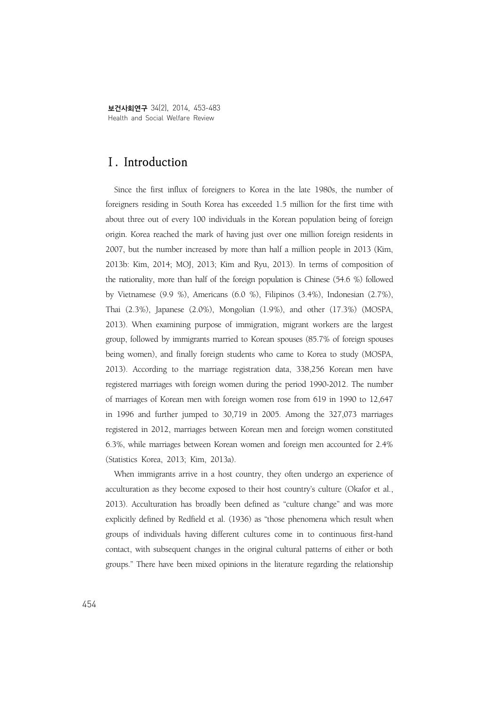보건사회연구 34(2), 2014, 453-483 Health and Social Welfare Review

# **Ⅰ. Introduction**

Since the first influx of foreigners to Korea in the late 1980s, the number of foreigners residing in South Korea has exceeded 1.5 million for the first time with about three out of every 100 individuals in the Korean population being of foreign origin. Korea reached the mark of having just over one million foreign residents in 2007, but the number increased by more than half a million people in 2013 (Kim, 2013b: Kim, 2014; MOJ, 2013; Kim and Ryu, 2013). In terms of composition of the nationality, more than half of the foreign population is Chinese (54.6 %) followed by Vietnamese (9.9 %), Americans (6.0 %), Filipinos (3.4%), Indonesian (2.7%), Thai (2.3%), Japanese (2.0%), Mongolian (1.9%), and other (17.3%) (MOSPA, 2013). When examining purpose of immigration, migrant workers are the largest group, followed by immigrants married to Korean spouses (85.7% of foreign spouses being women), and finally foreign students who came to Korea to study (MOSPA, 2013). According to the marriage registration data, 338,256 Korean men have registered marriages with foreign women during the period 1990-2012. The number of marriages of Korean men with foreign women rose from 619 in 1990 to 12,647 in 1996 and further jumped to 30,719 in 2005. Among the 327,073 marriages registered in 2012, marriages between Korean men and foreign women constituted 6.3%, while marriages between Korean women and foreign men accounted for 2.4% (Statistics Korea, 2013; Kim, 2013a).

When immigrants arrive in a host country, they often undergo an experience of acculturation as they become exposed to their host country's culture (Okafor et al., 2013). Acculturation has broadly been defined as "culture change" and was more explicitly defined by Redfield et al. (1936) as "those phenomena which result when groups of individuals having different cultures come in to continuous first-hand contact, with subsequent changes in the original cultural patterns of either or both groups." There have been mixed opinions in the literature regarding the relationship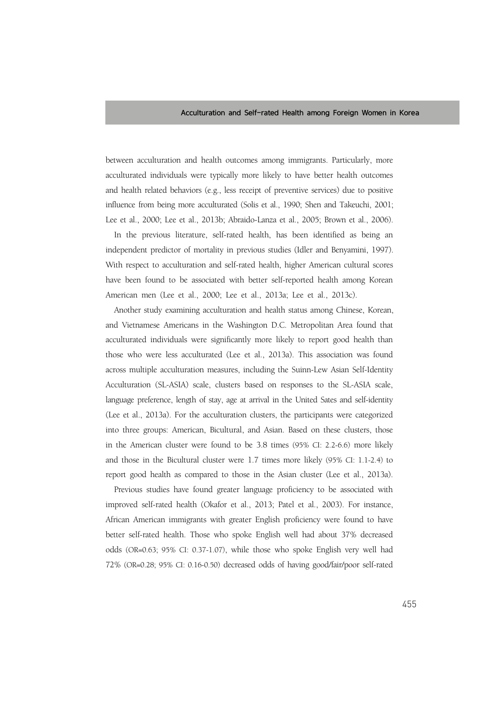between acculturation and health outcomes among immigrants. Particularly, more acculturated individuals were typically more likely to have better health outcomes and health related behaviors (e.g., less receipt of preventive services) due to positive influence from being more acculturated (Solis et al., 1990; Shen and Takeuchi, 2001; Lee et al., 2000; Lee et al., 2013b; Abraido-Lanza et al., 2005; Brown et al., 2006).

In the previous literature, self-rated health, has been identified as being an independent predictor of mortality in previous studies (Idler and Benyamini, 1997). With respect to acculturation and self-rated health, higher American cultural scores have been found to be associated with better self-reported health among Korean American men (Lee et al., 2000; Lee et al., 2013a; Lee et al., 2013c).

Another study examining acculturation and health status among Chinese, Korean, and Vietnamese Americans in the Washington D.C. Metropolitan Area found that acculturated individuals were significantly more likely to report good health than those who were less acculturated (Lee et al., 2013a). This association was found across multiple acculturation measures, including the Suinn-Lew Asian Self-Identity Acculturation (SL-ASIA) scale, clusters based on responses to the SL-ASIA scale, language preference, length of stay, age at arrival in the United Sates and self-identity (Lee et al., 2013a). For the acculturation clusters, the participants were categorized into three groups: American, Bicultural, and Asian. Based on these clusters, those in the American cluster were found to be 3.8 times (95% CI: 2.2-6.6) more likely and those in the Bicultural cluster were 1.7 times more likely (95% CI: 1.1-2.4) to report good health as compared to those in the Asian cluster (Lee et al., 2013a).

Previous studies have found greater language proficiency to be associated with improved self-rated health (Okafor et al., 2013; Patel et al., 2003). For instance, African American immigrants with greater English proficiency were found to have better self-rated health. Those who spoke English well had about 37% decreased odds (OR=0.63; 95% CI: 0.37-1.07), while those who spoke English very well had 72% (OR=0.28; 95% CI: 0.16-0.50) decreased odds of having good/fair/poor self-rated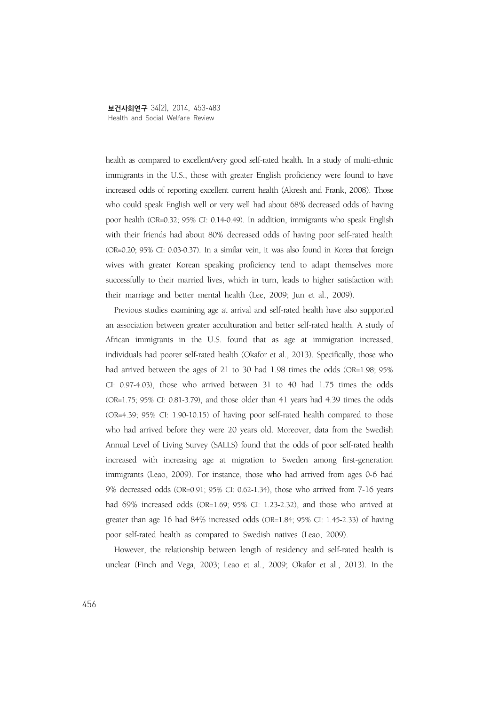health as compared to excellent/very good self-rated health. In a study of multi-ethnic immigrants in the U.S., those with greater English proficiency were found to have increased odds of reporting excellent current health (Akresh and Frank, 2008). Those who could speak English well or very well had about 68% decreased odds of having poor health (OR=0.32; 95% CI: 0.14-0.49). In addition, immigrants who speak English with their friends had about 80% decreased odds of having poor self-rated health (OR=0.20; 95% CI: 0.03-0.37). In a similar vein, it was also found in Korea that foreign wives with greater Korean speaking proficiency tend to adapt themselves more successfully to their married lives, which in turn, leads to higher satisfaction with their marriage and better mental health (Lee, 2009; Jun et al., 2009).

Previous studies examining age at arrival and self-rated health have also supported an association between greater acculturation and better self-rated health. A study of African immigrants in the U.S. found that as age at immigration increased, individuals had poorer self-rated health (Okafor et al., 2013). Specifically, those who had arrived between the ages of 21 to 30 had 1.98 times the odds (OR=1.98; 95% CI: 0.97-4.03), those who arrived between 31 to 40 had 1.75 times the odds (OR=1.75; 95% CI: 0.81-3.79), and those older than 41 years had 4.39 times the odds (OR=4.39; 95% CI: 1.90-10.15) of having poor self-rated health compared to those who had arrived before they were 20 years old. Moreover, data from the Swedish Annual Level of Living Survey (SALLS) found that the odds of poor self-rated health increased with increasing age at migration to Sweden among first-generation immigrants (Leao, 2009). For instance, those who had arrived from ages 0-6 had 9% decreased odds (OR=0.91; 95% CI: 0.62-1.34), those who arrived from 7-16 years had  $69\%$  increased odds  $(OR=1.69; 95\% \text{ CI: } 1.23-2.32)$ , and those who arrived at greater than age 16 had 84% increased odds (OR=1.84; 95% CI: 1.45-2.33) of having poor self-rated health as compared to Swedish natives (Leao, 2009).

However, the relationship between length of residency and self-rated health is unclear (Finch and Vega, 2003; Leao et al., 2009; Okafor et al., 2013). In the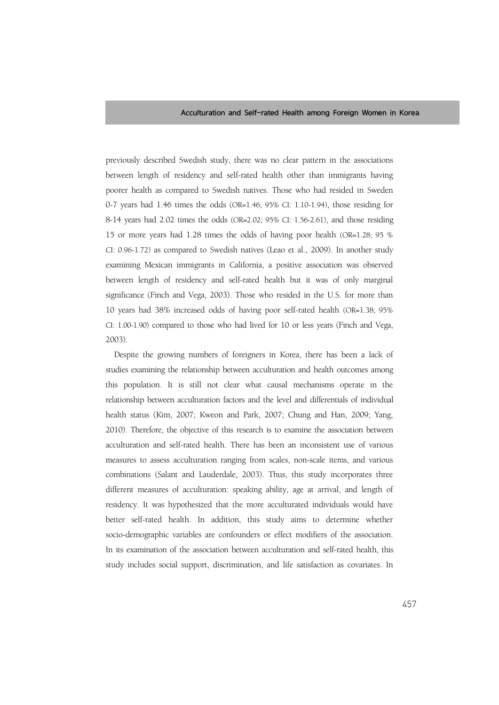previously described Swedish study, there was no clear pattern in the associations between length of residency and self-rated health other than immigrants having poorer health as compared to Swedish natives. Those who had resided in Sweden 0-7 years had 1.46 times the odds (OR=1.46; 95% CI: 1.10-1.94), those residing for 8-14 years had 2.02 times the odds (OR=2.02; 95% CI: 1.56-2.61), and those residing 15 or more years had 1.28 times the odds of having poor health (OR=1.28; 95 % CI: 0.96-1.72) as compared to Swedish natives (Leao et al., 2009). In another study examining Mexican immigrants in California, a positive association was observed between length of residency and self-rated health but it was of only marginal significance (Finch and Vega, 2003). Those who resided in the U.S. for more than 10 years had 38% increased odds of having poor self-rated health (OR=1.38; 95% CI: 1.00-1.90) compared to those who had lived for 10 or less years (Finch and Vega, 2003).

Despite the growing numbers of foreigners in Korea, there has been a lack of studies examining the relationship between acculturation and health outcomes among this population. It is still not clear what causal mechanisms operate in the relationship between acculturation factors and the level and differentials of individual health status (Kim, 2007; Kweon and Park, 2007; Chung and Han, 2009; Yang, 2010). Therefore, the objective of this research is to examine the association between acculturation and self-rated health. There has been an inconsistent use of various measures to assess acculturation ranging from scales, non-scale items, and various combinations (Salant and Lauderdale, 2003). Thus, this study incorporates three different measures of acculturation: speaking ability, age at arrival, and length of residency. It was hypothesized that the more acculturated individuals would have better self-rated health. In addition, this study aims to determine whether socio-demographic variables are confounders or effect modifiers of the association. In its examination of the association between acculturation and self-rated health, this study includes social support, discrimination, and life satisfaction as covariates. In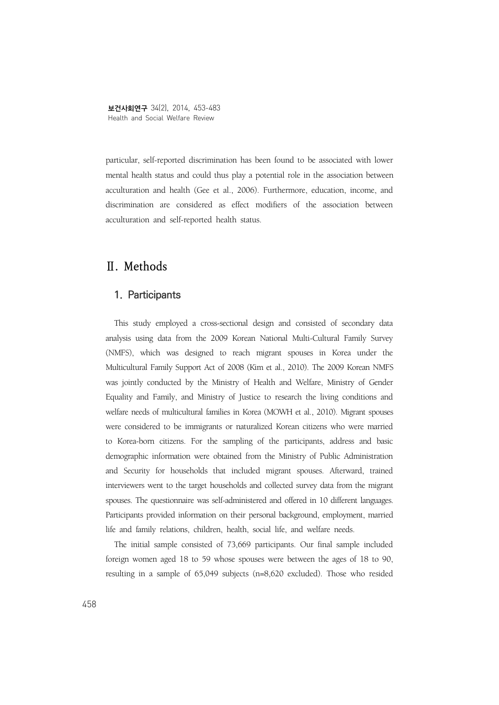particular, self-reported discrimination has been found to be associated with lower mental health status and could thus play a potential role in the association between acculturation and health (Gee et al., 2006). Furthermore, education, income, and discrimination are considered as effect modifiers of the association between acculturation and self-reported health status.

# **Ⅱ. Methods**

### **1. Participants**

This study employed a cross-sectional design and consisted of secondary data analysis using data from the 2009 Korean National Multi-Cultural Family Survey (NMFS), which was designed to reach migrant spouses in Korea under the Multicultural Family Support Act of 2008 (Kim et al., 2010). The 2009 Korean NMFS was jointly conducted by the Ministry of Health and Welfare, Ministry of Gender Equality and Family, and Ministry of Justice to research the living conditions and welfare needs of multicultural families in Korea (MOWH et al., 2010). Migrant spouses were considered to be immigrants or naturalized Korean citizens who were married to Korea-born citizens. For the sampling of the participants, address and basic demographic information were obtained from the Ministry of Public Administration and Security for households that included migrant spouses. Afterward, trained interviewers went to the target households and collected survey data from the migrant spouses. The questionnaire was self-administered and offered in 10 different languages. Participants provided information on their personal background, employment, married life and family relations, children, health, social life, and welfare needs.

The initial sample consisted of 73,669 participants. Our final sample included foreign women aged 18 to 59 whose spouses were between the ages of 18 to 90, resulting in a sample of 65,049 subjects (n=8,620 excluded). Those who resided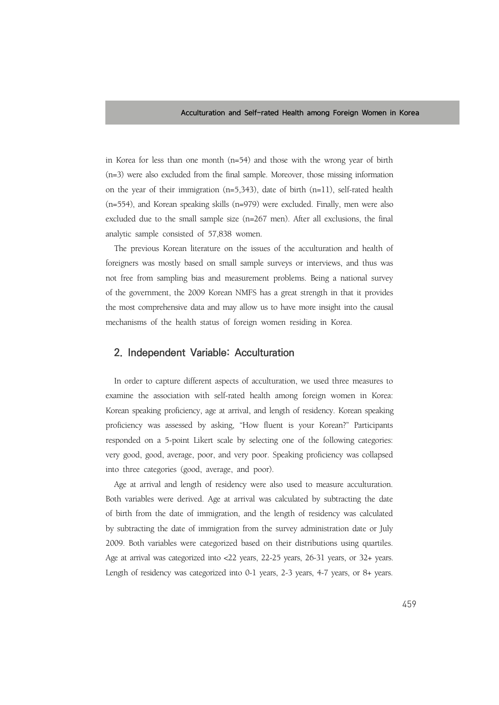in Korea for less than one month (n=54) and those with the wrong year of birth (n=3) were also excluded from the final sample. Moreover, those missing information on the year of their immigration (n=5,343), date of birth (n=11), self-rated health (n=554), and Korean speaking skills (n=979) were excluded. Finally, men were also excluded due to the small sample size (n=267 men). After all exclusions, the final analytic sample consisted of 57,838 women.

The previous Korean literature on the issues of the acculturation and health of foreigners was mostly based on small sample surveys or interviews, and thus was not free from sampling bias and measurement problems. Being a national survey of the government, the 2009 Korean NMFS has a great strength in that it provides the most comprehensive data and may allow us to have more insight into the causal mechanisms of the health status of foreign women residing in Korea.

### **2. Independent Variable: Acculturation**

In order to capture different aspects of acculturation, we used three measures to examine the association with self-rated health among foreign women in Korea: Korean speaking proficiency, age at arrival, and length of residency. Korean speaking proficiency was assessed by asking, "How fluent is your Korean?" Participants responded on a 5-point Likert scale by selecting one of the following categories: very good, good, average, poor, and very poor. Speaking proficiency was collapsed into three categories (good, average, and poor).

Age at arrival and length of residency were also used to measure acculturation. Both variables were derived. Age at arrival was calculated by subtracting the date of birth from the date of immigration, and the length of residency was calculated by subtracting the date of immigration from the survey administration date or July 2009. Both variables were categorized based on their distributions using quartiles. Age at arrival was categorized into <22 years, 22-25 years, 26-31 years, or 32+ years. Length of residency was categorized into 0-1 years, 2-3 years, 4-7 years, or 8+ years.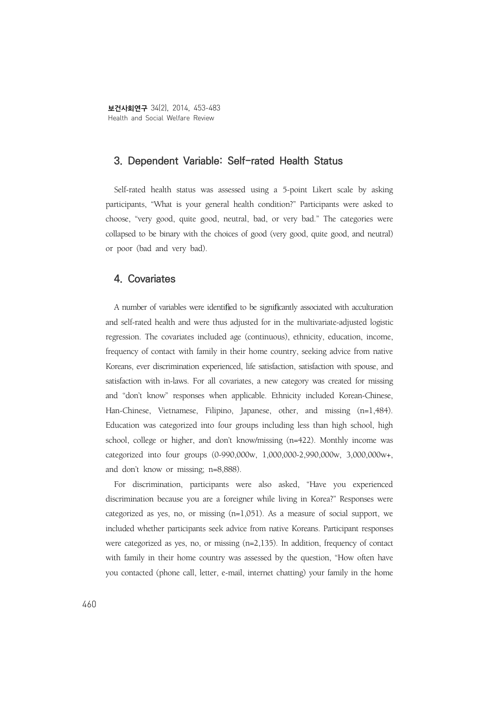# **3. Dependent Variable: Self-rated Health Status**

Self-rated health status was assessed using a 5-point Likert scale by asking participants, "What is your general health condition?" Participants were asked to choose, "very good, quite good, neutral, bad, or very bad." The categories were collapsed to be binary with the choices of good (very good, quite good, and neutral) or poor (bad and very bad).

## **4. Covariates**

A number of variables were identified to be significantly associated with acculturation and self-rated health and were thus adjusted for in the multivariate-adjusted logistic regression. The covariates included age (continuous), ethnicity, education, income, frequency of contact with family in their home country, seeking advice from native Koreans, ever discrimination experienced, life satisfaction, satisfaction with spouse, and satisfaction with in-laws. For all covariates, a new category was created for missing and "don't know" responses when applicable. Ethnicity included Korean-Chinese, Han-Chinese, Vietnamese, Filipino, Japanese, other, and missing (n=1,484). Education was categorized into four groups including less than high school, high school, college or higher, and don't know/missing (n=422). Monthly income was categorized into four groups (0-990,000w, 1,000,000-2,990,000w, 3,000,000w+, and don't know or missing; n=8,888).

For discrimination, participants were also asked, "Have you experienced discrimination because you are a foreigner while living in Korea?" Responses were categorized as yes, no, or missing (n=1,051). As a measure of social support, we included whether participants seek advice from native Koreans. Participant responses were categorized as yes, no, or missing (n=2,135). In addition, frequency of contact with family in their home country was assessed by the question, "How often have you contacted (phone call, letter, e-mail, internet chatting) your family in the home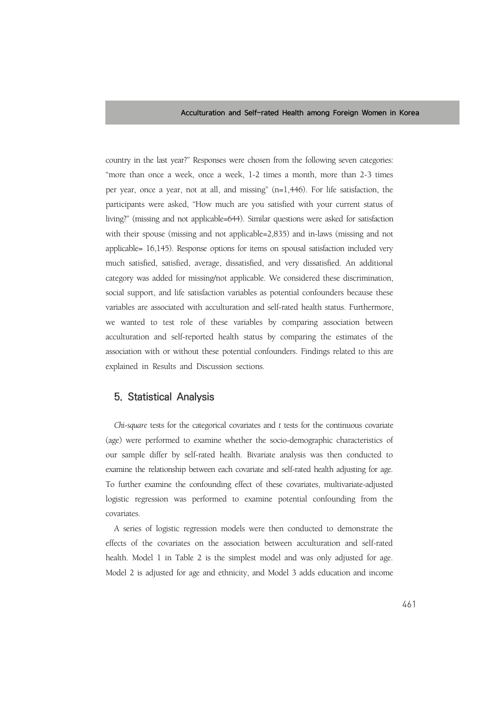country in the last year?" Responses were chosen from the following seven categories: "more than once a week, once a week, 1-2 times a month, more than 2-3 times per year, once a year, not at all, and missing" (n=1,446). For life satisfaction, the participants were asked, "How much are you satisfied with your current status of living?" (missing and not applicable=644). Similar questions were asked for satisfaction with their spouse (missing and not applicable=2,835) and in-laws (missing and not applicable= 16,145). Response options for items on spousal satisfaction included very much satisfied, satisfied, average, dissatisfied, and very dissatisfied. An additional category was added for missing/not applicable. We considered these discrimination, social support, and life satisfaction variables as potential confounders because these variables are associated with acculturation and self-rated health status. Furthermore, we wanted to test role of these variables by comparing association between acculturation and self-reported health status by comparing the estimates of the association with or without these potential confounders. Findings related to this are explained in Results and Discussion sections.

## **5. Statistical Analysis**

*Chi-square* tests for the categorical covariates and *t* tests for the continuous covariate (age) were performed to examine whether the socio-demographic characteristics of our sample differ by self-rated health. Bivariate analysis was then conducted to examine the relationship between each covariate and self-rated health adjusting for age. To further examine the confounding effect of these covariates, multivariate-adjusted logistic regression was performed to examine potential confounding from the covariates.

A series of logistic regression models were then conducted to demonstrate the effects of the covariates on the association between acculturation and self-rated health. Model 1 in Table 2 is the simplest model and was only adjusted for age. Model 2 is adjusted for age and ethnicity, and Model 3 adds education and income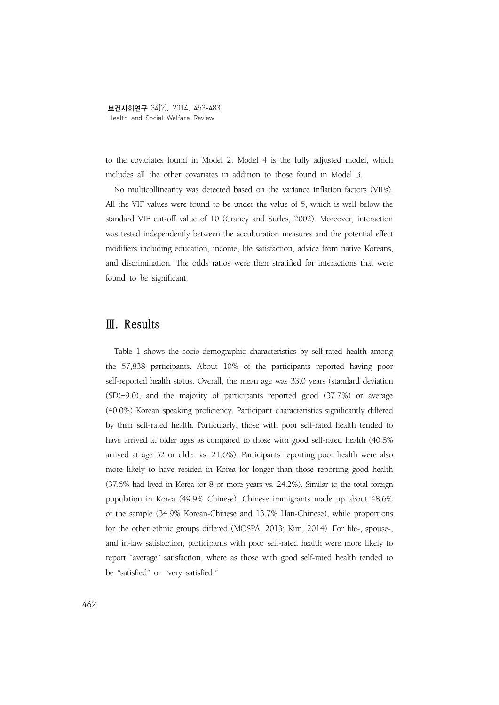to the covariates found in Model 2. Model 4 is the fully adjusted model, which includes all the other covariates in addition to those found in Model 3.

No multicollinearity was detected based on the variance inflation factors (VIFs). All the VIF values were found to be under the value of 5, which is well below the standard VIF cut-off value of 10 (Craney and Surles, 2002). Moreover, interaction was tested independently between the acculturation measures and the potential effect modifiers including education, income, life satisfaction, advice from native Koreans, and discrimination. The odds ratios were then stratified for interactions that were found to be significant.

# **Ⅲ. Results**

Table 1 shows the socio-demographic characteristics by self-rated health among the 57,838 participants. About 10% of the participants reported having poor self-reported health status. Overall, the mean age was 33.0 years (standard deviation (SD)=9.0), and the majority of participants reported good (37.7%) or average (40.0%) Korean speaking proficiency. Participant characteristics significantly differed by their self-rated health. Particularly, those with poor self-rated health tended to have arrived at older ages as compared to those with good self-rated health (40.8% arrived at age 32 or older vs. 21.6%). Participants reporting poor health were also more likely to have resided in Korea for longer than those reporting good health (37.6% had lived in Korea for 8 or more years vs. 24.2%). Similar to the total foreign population in Korea (49.9% Chinese), Chinese immigrants made up about 48.6% of the sample (34.9% Korean-Chinese and 13.7% Han-Chinese), while proportions for the other ethnic groups differed (MOSPA, 2013; Kim, 2014). For life-, spouse-, and in-law satisfaction, participants with poor self-rated health were more likely to report "average" satisfaction, where as those with good self-rated health tended to be "satisfied" or "very satisfied."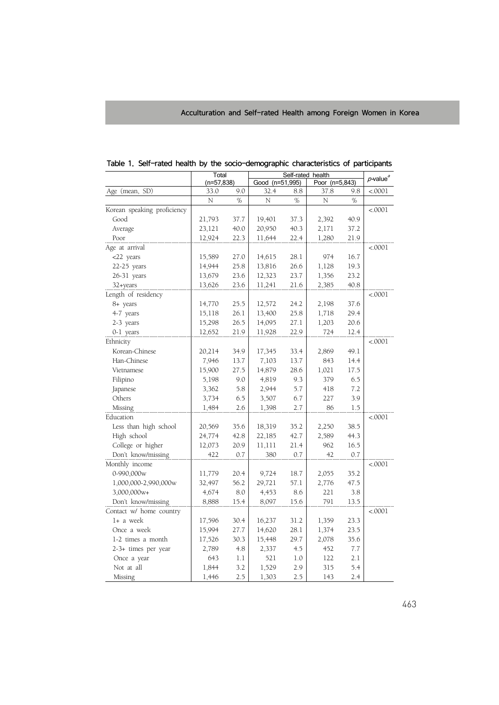|                             | Total        |      | Self-rated health | $p$ -value <sup>a</sup> |                |      |         |
|-----------------------------|--------------|------|-------------------|-------------------------|----------------|------|---------|
|                             | $(n=57,838)$ |      | Good (n=51,995)   |                         | Poor (n=5,843) |      |         |
| Age (mean, SD)              | 33.0         | 9.0  | 32.4              | 8.8                     | 37.8           | 9.8  | < .0001 |
|                             | N            | %    | N                 | %                       | N              | %    |         |
| Korean speaking proficiency |              |      |                   |                         |                |      | < .0001 |
| Good                        | 21,793       | 37.7 | 19,401            | 37.3                    | 2,392          | 40.9 |         |
| Average                     | 23,121       | 40.0 | 20,950            | 40.3                    | 2,171          | 37.2 |         |
| Poor                        | 12,924       | 22.3 | 11,644            | 22.4                    | 1,280          | 21.9 |         |
| Age at arrival              |              |      |                   |                         |                |      | < 0001  |
| <22 years                   | 15,589       | 27.0 | 14,615            | 28.1                    | 974            | 16.7 |         |
| $22-25$ years               | 14,944       | 25.8 | 13,816            | 26.6                    | 1,128          | 19.3 |         |
| 26-31 years                 | 13,679       | 23.6 | 12,323            | 23.7                    | 1,356          | 23.2 |         |
| 32+years                    | 13,626       | 23.6 | 11,241            | 21.6                    | 2,385          | 40.8 |         |
| Length of residency         |              |      |                   |                         |                |      | < .0001 |
| 8+ years                    | 14,770       | 25.5 | 12,572            | 24.2                    | 2,198          | 37.6 |         |
| 4-7 years                   | 15,118       | 26.1 | 13,400            | 25.8                    | 1,718          | 29.4 |         |
| 2-3 years                   | 15,298       | 26.5 | 14,095            | 27.1                    | 1,203          | 20.6 |         |
| 0-1 years                   | 12,652       | 21.9 | 11,928            | 22.9                    | 724            | 12.4 |         |
| Ethnicity                   |              |      |                   |                         |                |      | < 0001  |
| Korean-Chinese              | 20,214       | 34.9 | 17,345            | 33.4                    | 2,869          | 49.1 |         |
| Han-Chinese                 | 7,946        | 13.7 | 7,103             | 13.7                    | 843            | 14.4 |         |
| Vietnamese                  | 15,900       | 27.5 | 14,879            | 28.6                    | 1,021          | 17.5 |         |
| Filipino                    | 5,198        | 9.0  | 4,819             | 9.3                     | 379            | 6.5  |         |
| Japanese                    | 3,362        | 5.8  | 2,944             | 5.7                     | 418            | 7.2  |         |
| Others                      | 3,734        | 6.5  | 3,507             | 6.7                     | 227            | 3.9  |         |
| Missing                     | 1,484        | 2.6  | 1,398             | 2.7                     | 86             | 1.5  |         |
| Education                   |              |      |                   |                         |                |      | < .0001 |
| Less than high school       | 20,569       | 35.6 | 18,319            | 35.2                    | 2,250          | 38.5 |         |
| High school                 | 24,774       | 42.8 | 22,185            | 42.7                    | 2,589          | 44.3 |         |
| College or higher           | 12,073       | 20.9 | 11,111            | 21.4                    | 962            | 16.5 |         |
| Don't know/missing          | 422          | 0.7  | 380               | 0.7                     | 42             | 0.7  |         |
| Monthly income              |              |      |                   |                         |                |      | < .0001 |
| 0-990,000w                  | 11,779       | 20.4 | 9,724             | 18.7                    | 2,055          | 35.2 |         |
| 1,000,000-2,990,000w        | 32,497       | 56.2 | 29,721            | 57.1                    | 2,776          | 47.5 |         |
| 3,000,000w+                 | 4,674        | 8.0  | 4,453             | 8.6                     | 221            | 3.8  |         |
| Don't know/missing          | 8,888        | 15.4 | 8,097             | 15.6                    | 791            | 13.5 |         |
| Contact w/ home country     |              |      |                   |                         |                |      | < .0001 |
| 1+ a week                   | 17,596       | 30.4 | 16,237            | 31.2                    | 1,359          | 23.3 |         |
| Once a week                 | 15,994       | 27.7 | 14,620            | 28.1                    | 1,374          | 23.5 |         |
| 1-2 times a month           | 17,526       | 30.3 | 15,448            | 29.7                    | 2,078          | 35.6 |         |
| 2-3+ times per year         | 2,789<br>4.8 |      | 2,337             | 4.5                     | 452            | 7.7  |         |
| 643<br>Once a year          |              | 1.1  | 521               | 1.0                     | 122            | 2.1  |         |
| Not at all                  | 1,844        | 3.2  | 1,529             | 2.9                     | 315            | 5.4  |         |
| Missing                     | 1,446        | 2.5  | 1,303             | 2.5                     | 143            | 2.4  |         |

Table 1. Self-rated health by the socio-demographic characteristics of participants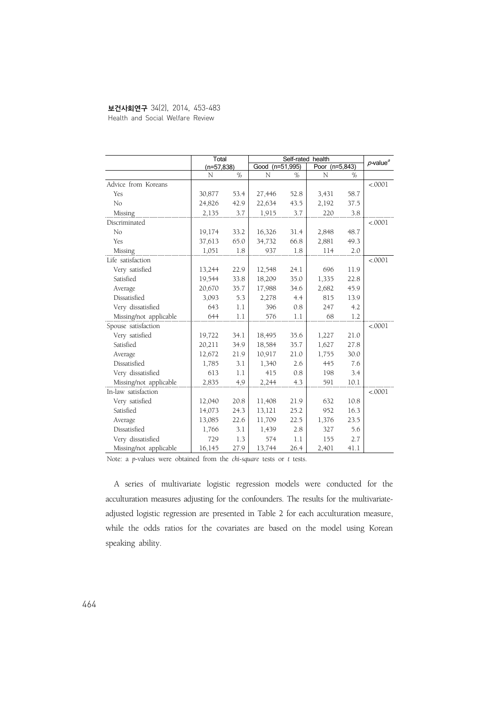#### 보건사회연구 34(2), 2014, 453-483

Health and Social Welfare Review

|                        | Total        |      | Self-rated health | $p$ -value $q$ |                |      |         |
|------------------------|--------------|------|-------------------|----------------|----------------|------|---------|
|                        | $(n=57,838)$ |      | Good (n=51,995)   |                | Poor (n=5,843) |      |         |
|                        | N            | %    | N                 | %              | N              | $\%$ |         |
| Advice from Koreans    |              |      |                   |                |                |      | < .0001 |
| Yes                    | 30,877       | 53.4 | 27,446            | 52.8           | 3,431          | 58.7 |         |
| No                     | 24,826       | 42.9 | 22,634            | 43.5           | 2,192          | 37.5 |         |
| Missing                | 2,135        | 3.7  | 1,915             | 3.7            | 220            | 3.8  |         |
| Discriminated          |              |      |                   |                |                |      | < .0001 |
| No                     | 19,174       | 33.2 | 16,326            | 31.4           | 2,848          | 48.7 |         |
| Yes                    | 37,613       | 65.0 | 34,732            | 66.8           | 2,881          | 49.3 |         |
| Missing                | 1.051        | 1.8  | 937               | 1.8            | 114            | 2.0  |         |
| Life satisfaction      |              |      |                   |                |                |      | < .0001 |
| Very satisfied         | 13,244       | 22.9 | 12,548            | 24.1           | 696            | 11.9 |         |
| Satisfied              | 19,544       | 33.8 | 18,209            | 35.0           | 1,335          | 22.8 |         |
| Average                | 20,670       | 35.7 | 17,988            | 34.6           | 2,682          | 45.9 |         |
| Dissatisfied           | 3,093        | 5.3  | 2,278             | 4.4            | 815            | 13.9 |         |
| Very dissatisfied      | 643          | 1.1  | 396               | 0.8            | 247            | 4.2  |         |
| Missing/not applicable | 644          | 1.1  | 576               | 1.1            | 68             | 1.2  |         |
| Spouse satisfaction    |              |      |                   |                |                |      | < .0001 |
| Very satisfied         | 19,722       | 34.1 | 18,495            | 35.6           | 1,227          | 21.0 |         |
| Satisfied              | 20,211       | 34.9 | 18,584            | 35.7           | 1,627          | 27.8 |         |
| Average                | 12,672       | 21.9 | 10,917            | 21.0           | 1,755          | 30.0 |         |
| Dissatisfied           | 1,785        | 3.1  | 1,340             | 2.6            | 445            | 7.6  |         |
| Very dissatisfied      | 613          | 1.1  | 415               | 0.8            | 198            | 3.4  |         |
| Missing/not applicable | 2,835        | 4,9  | 2,244             | 4.3            | 591            | 10.1 |         |
| In-law satisfaction    |              |      |                   |                |                |      | < 0001  |
| Very satisfied         | 12,040       | 20.8 | 11,408            | 21.9           | 632            | 10.8 |         |
| Satisfied              | 14,073       | 24.3 | 13,121            | 25.2           | 952            | 16.3 |         |
| Average                | 13,085       | 22.6 | 11,709            | 22.5           | 1,376          | 23.5 |         |
| Dissatisfied           | 1,766        | 3.1  | 1,439             | 2.8            | 327            | 5.6  |         |
| Very dissatisfied      | 729          | 1.3  | 574               | 1.1            | 155            | 2.7  |         |
| Missing/not applicable | 16,145       | 27.9 | 13,744            | 26.4           | 2,401          | 41.1 |         |

Note: a *p*-values were obtained from the *chi-square* tests or *t* tests.

A series of multivariate logistic regression models were conducted for the acculturation measures adjusting for the confounders. The results for the multivariateadjusted logistic regression are presented in Table 2 for each acculturation measure, while the odds ratios for the covariates are based on the model using Korean speaking ability.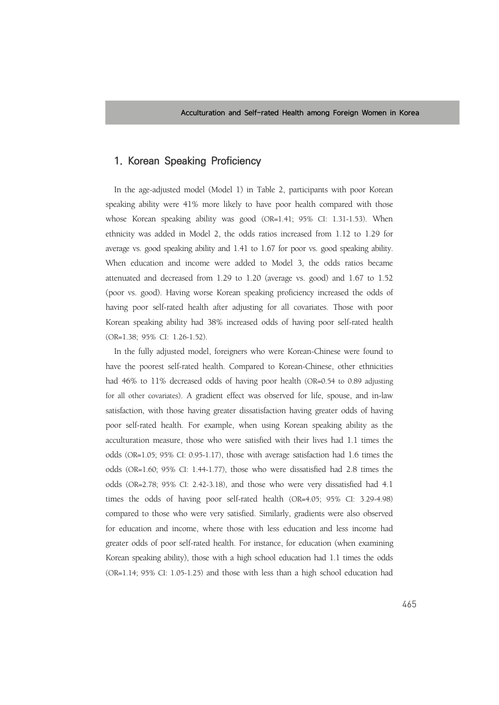## **1. Korean Speaking Proficiency**

In the age-adjusted model (Model 1) in Table 2, participants with poor Korean speaking ability were 41% more likely to have poor health compared with those whose Korean speaking ability was good (OR=1.41; 95% CI: 1.31-1.53). When ethnicity was added in Model 2, the odds ratios increased from 1.12 to 1.29 for average vs. good speaking ability and 1.41 to 1.67 for poor vs. good speaking ability. When education and income were added to Model 3, the odds ratios became attenuated and decreased from 1.29 to 1.20 (average vs. good) and 1.67 to 1.52 (poor vs. good). Having worse Korean speaking proficiency increased the odds of having poor self-rated health after adjusting for all covariates. Those with poor Korean speaking ability had 38% increased odds of having poor self-rated health (OR=1.38; 95% CI: 1.26-1.52).

In the fully adjusted model, foreigners who were Korean-Chinese were found to have the poorest self-rated health. Compared to Korean-Chinese, other ethnicities had 46% to 11% decreased odds of having poor health (OR=0.54 to 0.89 adjusting for all other covariates). A gradient effect was observed for life, spouse, and in-law satisfaction, with those having greater dissatisfaction having greater odds of having poor self-rated health. For example, when using Korean speaking ability as the acculturation measure, those who were satisfied with their lives had 1.1 times the odds (OR=1.05; 95% CI: 0.95-1.17), those with average satisfaction had 1.6 times the odds (OR=1.60; 95% CI: 1.44-1.77), those who were dissatisfied had 2.8 times the odds (OR=2.78; 95% CI: 2.42-3.18), and those who were very dissatisfied had 4.1 times the odds of having poor self-rated health (OR=4.05; 95% CI: 3.29-4.98) compared to those who were very satisfied. Similarly, gradients were also observed for education and income, where those with less education and less income had greater odds of poor self-rated health. For instance, for education (when examining Korean speaking ability), those with a high school education had 1.1 times the odds (OR=1.14; 95% CI: 1.05-1.25) and those with less than a high school education had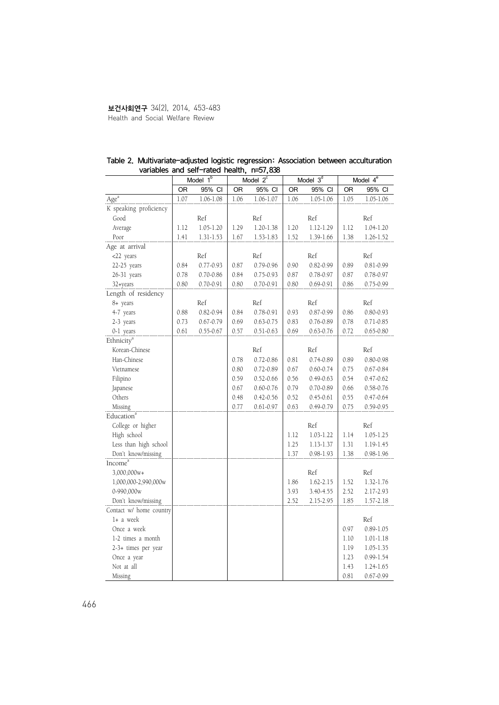#### 보건사회연구 34(2), 2014, 453-483 Health and Social Welfare Review

|                         | Model $1b$ |               |      | Model $2^c$   |      | Model $3d$    |      | Model $4^{\overline{e}}$ |
|-------------------------|------------|---------------|------|---------------|------|---------------|------|--------------------------|
|                         | 0R         | 95% CI        | OR   | 95% CI        | OR   | 95% CI        | OR   | 95% CI                   |
| Age <sup>a</sup>        | 1.07       | $1.06 - 1.08$ | 1.06 | 1.06-1.07     | 1.06 | 1.05-1.06     | 1.05 | $1.05 - 1.06$            |
| K speaking proficiency  |            |               |      |               |      |               |      |                          |
| Good                    |            | Ref           |      | Ref           |      | Ref           |      | Ref                      |
| Average                 | 1.12       | $1.05 - 1.20$ | 1.29 | $1.20 - 1.38$ | 1.20 | 1.12-1.29     | 1.12 | 1.04-1.20                |
| Poor                    | 1.41       | 1.31-1.53     | 1.67 | 1.53-1.83     | 1.52 | 1.39-1.66     | 1.38 | 1.26-1.52                |
| Age at arrival          |            |               |      |               |      |               |      |                          |
| <22 years               |            | Ref           |      | Ref           |      | Ref           |      | Ref                      |
| 22-25 years             | 0.84       | 0.77-0.93     | 0.87 | 0.79-0.96     | 0.90 | $0.82 - 0.99$ | 0.89 | $0.81 - 0.99$            |
| 26-31 years             | 0.78       | 0.70-0.86     | 0.84 | 0.75-0.93     | 0.87 | 0.78-0.97     | 0.87 | 0.78-0.97                |
| 32+years                | 0.80       | $0.70 - 0.91$ | 0.80 | $0.70 - 0.91$ | 0.80 | $0.69 - 0.91$ | 0.86 | 0.75-0.99                |
| Length of residency     |            |               |      |               |      |               |      |                          |
| 8+ years                |            | Ref           |      | Ref           |      | Ref           |      | Ref                      |
| 4-7 years               | 0.88       | $0.82 - 0.94$ | 0.84 | $0.78 - 0.91$ | 0.93 | 0.87-0.99     | 0.86 | 0.80-0.93                |
| 2-3 years               | 0.73       | $0.67 - 0.79$ | 0.69 | $0.63 - 0.75$ | 0.83 | $0.76 - 0.89$ | 0.78 | $0.71 - 0.85$            |
| 0-1 years               | 0.61       | $0.55 - 0.67$ | 0.57 | $0.51 - 0.63$ | 0.69 | $0.63 - 0.76$ | 0.72 | $0.65 - 0.80$            |
| Ethnicity <sup>a</sup>  |            |               |      |               |      |               |      |                          |
| Korean-Chinese          |            |               |      | Ref           |      | Ref           |      | Ref                      |
| Han-Chinese             |            |               | 0.78 | $0.72 - 0.86$ | 0.81 | $0.74 - 0.89$ | 0.89 | 0.80-0.98                |
| Vietnamese              |            |               | 0.80 | 0.72-0.89     | 0.67 | $0.60 - 0.74$ | 0.75 | 0.67-0.84                |
| Filipino                |            |               | 0.59 | $0.52 - 0.66$ | 0.56 | $0.49 - 0.63$ | 0.54 | $0.47 - 0.62$            |
| Japanese                |            |               | 0.67 | $0.60 - 0.76$ | 0.79 | $0.70 - 0.89$ | 0.66 | 0.58-0.76                |
| Others                  |            |               | 0.48 | $0.42 - 0.56$ | 0.52 | $0.45 - 0.61$ | 0.55 | $0.47 - 0.64$            |
| Missing                 |            |               | 0.77 | $0.61 - 0.97$ | 0.63 | 0.49-0.79     | 0.75 | 0.59-0.95                |
| Education <sup>a</sup>  |            |               |      |               |      |               |      |                          |
| College or higher       |            |               |      |               |      | Ref           |      | Ref                      |
| High school             |            |               |      |               | 1.12 | 1.03-1.22     | 1.14 | 1.05-1.25                |
| Less than high school   |            |               |      |               | 1.25 | 1.13-1.37     | 1.31 | 1.19-1.45                |
| Don't know/missing      |            |               |      |               | 1.37 | $0.98 - 1.93$ | 1.38 | $0.98 - 1.96$            |
| Income <sup>a</sup>     |            |               |      |               |      |               |      |                          |
| 3,000,000w+             |            |               |      |               |      | Ref           |      | Ref                      |
| 1,000,000-2,990,000w    |            |               |      |               | 1.86 | 1.62-2.15     | 1.52 | 1.32-1.76                |
| 0-990,000w              |            |               |      |               | 3.93 | 3.40-4.55     | 2.52 | 2.17-2.93                |
| Don't know/missing      |            |               |      |               | 2.52 | 2.15-2.95     | 1.85 | 1.57-2.18                |
| Contact w/ home country |            |               |      |               |      |               |      |                          |
| 1+ a week               |            |               |      |               |      |               |      | Ref                      |
| Once a week             |            |               |      |               |      |               | 0.97 | $0.89 - 1.05$            |
| 1-2 times a month       |            |               |      |               |      |               | 1.10 | 1.01-1.18                |
| 2-3+ times per year     |            |               |      |               |      |               | 1.19 | 1.05-1.35                |
| Once a year             |            |               |      |               |      |               | 1.23 | $0.99 - 1.54$            |
| Not at all              |            |               |      |               |      |               | 1.43 | 1.24-1.65                |
| Missing                 |            |               |      |               |      |               | 0.81 | $0.67 - 0.99$            |

#### Table 2. Multivariate-adjusted logistic regression: Association between acculturation variables and self-rated health, n=57,838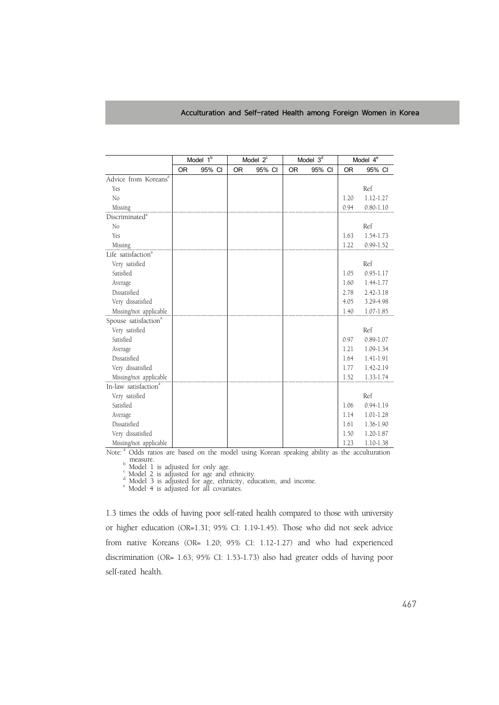|                                  | Model 1 <sup>b</sup> |        |           | Model $2^c$ |           | Model $3^{\overline{d}}$ | Model $4^e$ |               |  |
|----------------------------------|----------------------|--------|-----------|-------------|-----------|--------------------------|-------------|---------------|--|
|                                  | <b>OR</b>            | 95% CI | <b>OR</b> | 95% CI      | <b>OR</b> | 95% CI                   | <b>OR</b>   | 95% CI        |  |
| Advice from Koreans <sup>a</sup> |                      |        |           |             |           |                          |             |               |  |
| Yes                              |                      |        |           |             |           |                          |             | Ref           |  |
| No                               |                      |        |           |             |           |                          | 1.20        | 1.12-1.27     |  |
| Missing                          |                      |        |           |             |           |                          | 0.94        | $0.80 - 1.10$ |  |
| Discriminated <sup>a</sup>       |                      |        |           |             |           |                          |             |               |  |
| No                               |                      |        |           |             |           |                          |             | Ref           |  |
| Yes                              |                      |        |           |             |           |                          | 1.63        | 1.54-1.73     |  |
| Missing                          |                      |        |           |             |           |                          | 1.22        | $0.99 - 1.52$ |  |
| Life satisfaction <sup>a</sup>   |                      |        |           |             |           |                          |             |               |  |
| Very satisfied                   |                      |        |           |             |           |                          |             | Ref           |  |
| Satisfied                        |                      |        |           |             |           |                          | 1.05        | $0.95 - 1.17$ |  |
| Average                          |                      |        |           |             |           |                          | 1.60        | 1.44-1.77     |  |
| Dissatisfied                     |                      |        |           |             |           |                          | 2.78        | $2.42 - 3.18$ |  |
| Very dissatisfied                |                      |        |           |             |           |                          | 4.05        | 3.29-4.98     |  |
| Missing/not applicable           |                      |        |           |             |           |                          | 1.40        | 1.07-1.85     |  |
| Spouse satisfaction <sup>a</sup> |                      |        |           |             |           |                          |             |               |  |
| Very satisfied                   |                      |        |           |             |           |                          |             | Ref           |  |
| Satisfied                        |                      |        |           |             |           |                          | 0.97        | $0.89 - 1.07$ |  |
| Average                          |                      |        |           |             |           |                          | 1.21        | 1.09-1.34     |  |
| Dissatisfied                     |                      |        |           |             |           |                          | 1.64        | 1.41-1.91     |  |
| Very dissatisfied                |                      |        |           |             |           |                          | 1.77        | 1.42-2.19     |  |
| Missing/not applicable           |                      |        |           |             |           |                          | 1.52        | 1.33-1.74     |  |
| In-law satisfaction <sup>a</sup> |                      |        |           |             |           |                          |             |               |  |
| Very satisfied                   |                      |        |           |             |           |                          |             | Ref           |  |
| Satisfied                        |                      |        |           |             |           |                          | 1.06        | $0.94 - 1.19$ |  |
| Average                          |                      |        |           |             |           |                          | 1.14        | $1.01 - 1.28$ |  |
| Dissatisfied                     |                      |        |           |             |           |                          | 1.61        | 1.36-1.90     |  |
| Very dissatisfied                |                      |        |           |             |           |                          | 1.50        | 1.20-1.87     |  |
| Missing/not applicable           |                      |        |           |             |           |                          | 1.23        | 1.10-1.38     |  |

Note:<sup>a</sup> Odds ratios are based on the model using Korean speaking ability as the acculturation <sup>b</sup> Model 1 is adjusted for only age.<br>
<sup>c</sup> Model 2 is adjusted for age and ethnicity.<br>
<sup>d</sup> Model 3 is adjusted for age, ethnicity, education, and income.<br>
<sup>e</sup> Model 4 is adjusted for all covariates.

1.3 times the odds of having poor self-rated health compared to those with university or higher education (OR=1.31; 95% CI: 1.19-1.45). Those who did not seek advice from native Koreans (OR= 1.20; 95% CI: 1.12-1.27) and who had experienced discrimination (OR= 1.63; 95% CI: 1.53-1.73) also had greater odds of having poor self-rated health.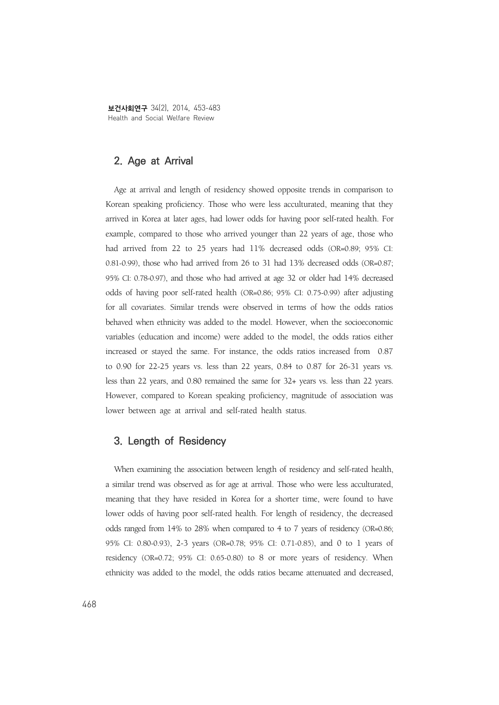보건사회연구 34(2), 2014, 453-483 Health and Social Welfare Review

#### **2. Age at Arrival**

Age at arrival and length of residency showed opposite trends in comparison to Korean speaking proficiency. Those who were less acculturated, meaning that they arrived in Korea at later ages, had lower odds for having poor self-rated health. For example, compared to those who arrived younger than 22 years of age, those who had arrived from 22 to 25 years had 11% decreased odds (OR=0.89; 95% CI: 0.81-0.99), those who had arrived from 26 to 31 had 13% decreased odds (OR=0.87; 95% CI: 0.78-0.97), and those who had arrived at age 32 or older had 14% decreased odds of having poor self-rated health (OR=0.86; 95% CI: 0.75-0.99) after adjusting for all covariates. Similar trends were observed in terms of how the odds ratios behaved when ethnicity was added to the model. However, when the socioeconomic variables (education and income) were added to the model, the odds ratios either increased or stayed the same. For instance, the odds ratios increased from 0.87 to 0.90 for 22-25 years vs. less than 22 years, 0.84 to 0.87 for 26-31 years vs. less than 22 years, and 0.80 remained the same for 32+ years vs. less than 22 years. However, compared to Korean speaking proficiency, magnitude of association was lower between age at arrival and self-rated health status.

## **3. Length of Residency**

When examining the association between length of residency and self-rated health, a similar trend was observed as for age at arrival. Those who were less acculturated, meaning that they have resided in Korea for a shorter time, were found to have lower odds of having poor self-rated health. For length of residency, the decreased odds ranged from 14% to 28% when compared to 4 to 7 years of residency (OR=0.86; 95% CI: 0.80-0.93), 2-3 years (OR=0.78; 95% CI: 0.71-0.85), and 0 to 1 years of residency (OR=0.72; 95% CI: 0.65-0.80) to 8 or more years of residency. When ethnicity was added to the model, the odds ratios became attenuated and decreased,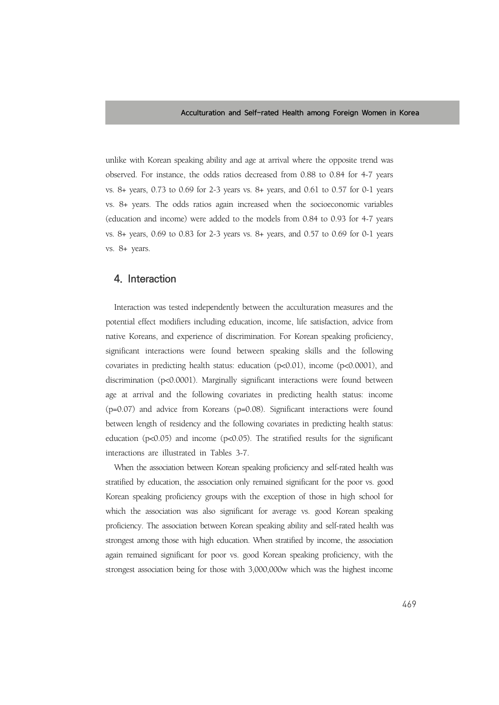unlike with Korean speaking ability and age at arrival where the opposite trend was observed. For instance, the odds ratios decreased from 0.88 to 0.84 for 4-7 years vs. 8+ years, 0.73 to 0.69 for 2-3 years vs. 8+ years, and 0.61 to 0.57 for 0-1 years vs. 8+ years. The odds ratios again increased when the socioeconomic variables (education and income) were added to the models from 0.84 to 0.93 for 4-7 years vs. 8+ years, 0.69 to 0.83 for 2-3 years vs. 8+ years, and 0.57 to 0.69 for 0-1 years vs. 8+ years.

### **4. Interaction**

Interaction was tested independently between the acculturation measures and the potential effect modifiers including education, income, life satisfaction, advice from native Koreans, and experience of discrimination. For Korean speaking proficiency, significant interactions were found between speaking skills and the following covariates in predicting health status: education (p<0.01), income (p<0.0001), and discrimination (p<0.0001). Marginally significant interactions were found between age at arrival and the following covariates in predicting health status: income (p=0.07) and advice from Koreans (p=0.08). Significant interactions were found between length of residency and the following covariates in predicting health status: education ( $p<0.05$ ) and income ( $p<0.05$ ). The stratified results for the significant interactions are illustrated in Tables 3-7.

When the association between Korean speaking proficiency and self-rated health was stratified by education, the association only remained significant for the poor vs. good Korean speaking proficiency groups with the exception of those in high school for which the association was also significant for average vs. good Korean speaking proficiency. The association between Korean speaking ability and self-rated health was strongest among those with high education. When stratified by income, the association again remained significant for poor vs. good Korean speaking proficiency, with the strongest association being for those with 3,000,000w which was the highest income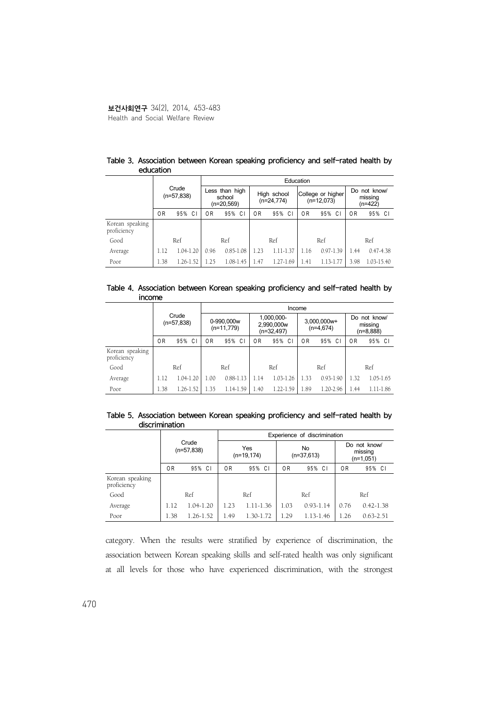|                                |                |                       | Education      |                                        |      |                             |                |                                   |                                      |               |  |  |  |  |
|--------------------------------|----------------|-----------------------|----------------|----------------------------------------|------|-----------------------------|----------------|-----------------------------------|--------------------------------------|---------------|--|--|--|--|
|                                |                | Crude<br>$(n=57,838)$ |                | Less than high<br>school<br>(n=20,569) |      | High school<br>$(n=24,774)$ |                | College or higher<br>$(n=12,073)$ | Do not know/<br>missing<br>$(n=422)$ |               |  |  |  |  |
|                                | 0 <sub>R</sub> | 95% CI                | 0 <sub>R</sub> | 95%<br>C                               | 0R   | 95% CI                      | 0 <sub>R</sub> | 95% CI                            | 0R                                   | 95% CI        |  |  |  |  |
| Korean speaking<br>proficiency |                |                       |                |                                        |      |                             |                |                                   |                                      |               |  |  |  |  |
| Good                           |                | Ref                   |                | Ref                                    |      | Ref                         |                | Ref                               |                                      | Ref           |  |  |  |  |
| Average                        | 1.12           | 1.04-1.20             | 0.96           | $0.85 - 1.08$                          | 1.23 | 1.11-1.37                   | 1.16           | $0.97 - 1.39$                     | 1.44                                 | $0.47 - 4.38$ |  |  |  |  |
| Poor                           | 1.38           | 1.26-1.52             | 1.25           | $1.08 - 1.45$                          | 1.47 | $1.27 - 1.69$               | 1.41           | $1.13-1$<br>.77                   | 3.98                                 | 1.03-15.40    |  |  |  |  |

#### Table 3. Association between Korean speaking proficiency and self-rated health by education

#### Table 4. Association between Korean speaking proficiency and self-rated health by income

|                                |      | Income                |                            |               |                                        |               |      |                            |                                        |           |  |  |  |
|--------------------------------|------|-----------------------|----------------------------|---------------|----------------------------------------|---------------|------|----------------------------|----------------------------------------|-----------|--|--|--|
|                                |      | Crude<br>$(n=57,838)$ | 0-990,000w<br>$(n=11,779)$ |               | 1,000,000-<br>2,990,000w<br>(n=32,497) |               |      | 3,000,000w+<br>$(n=4.674)$ | Do not know/<br>missing<br>$(n=8,888)$ |           |  |  |  |
|                                | 0R   | 95% CI                | 0R                         | 95%<br>-C I   | 0R                                     | 95% CI        | 0R   | 95% CI                     | 0R                                     | 95% CI    |  |  |  |
| Korean speaking<br>proficiency |      |                       |                            |               |                                        |               |      |                            |                                        |           |  |  |  |
| Good                           |      | Ref                   |                            | Ref           |                                        | Ref           |      | Ref                        |                                        | Ref       |  |  |  |
| Average                        | 1.12 | 1.04-1.20             | 1.00                       | $0.88 - 1.13$ | 1.14                                   | $1.03 - 1.26$ | 1.33 | $0.93 - 1.90$              | 1.32                                   | 1.05-1.65 |  |  |  |
| Poor                           | 1.38 | 1.26-1.52             | 1.35                       | 1.14-1.59     | 1.40                                   | 1.22-1.59     | 1.89 | 1.20-2.96                  | 1.44                                   | 1.11-1.86 |  |  |  |

#### Table 5. Association between Korean speaking proficiency and self-rated health by discrimination

|                                |                       |           |      |                      |      | Experience of discrimination |                                      |               |  |
|--------------------------------|-----------------------|-----------|------|----------------------|------|------------------------------|--------------------------------------|---------------|--|
|                                | Crude<br>$(n=57,838)$ |           |      | Yes<br>$(n=19, 174)$ |      | No<br>$(n=37,613)$           | Do not know/<br>missing<br>(n=1,051) |               |  |
|                                | 0R                    | 95% CI    | 0 R  | 95% CI               | 0R   | 95% CI                       | 0R                                   | 95% CI        |  |
| Korean speaking<br>proficiency |                       |           |      |                      |      |                              |                                      |               |  |
| Good                           |                       | Ref       |      | Ref                  |      | Ref                          |                                      | Ref           |  |
| Average                        | 1.12                  | 1.04-1.20 | 1.23 | 1.11-1.36            | 1.03 | $0.93 - 1.14$                | 0.76                                 | $0.42 - 1.38$ |  |
| Poor                           | 1.38                  | 1.26-1.52 | 1.49 | 1.30-1.72            | 1.29 | 1.13-1.46                    | 1.26                                 | $0.63 - 2.51$ |  |

category. When the results were stratified by experience of discrimination, the association between Korean speaking skills and self-rated health was only significant at all levels for those who have experienced discrimination, with the strongest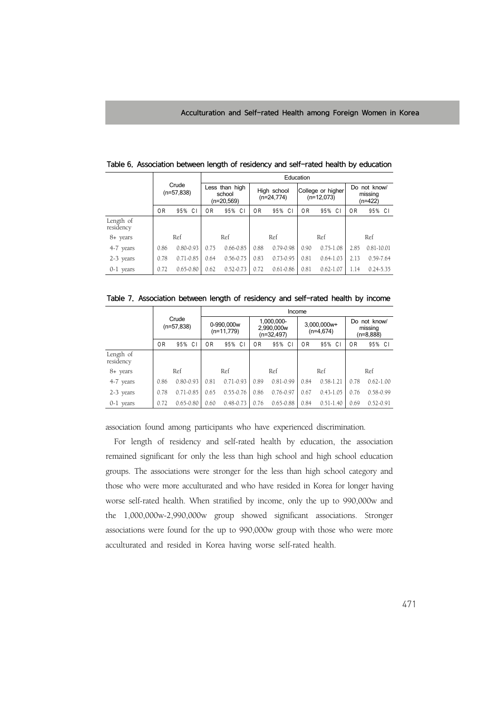|                        |                       |               | Education                              |               |      |               |                             |               |                                   |                                    |  |  |
|------------------------|-----------------------|---------------|----------------------------------------|---------------|------|---------------|-----------------------------|---------------|-----------------------------------|------------------------------------|--|--|
|                        | Crude<br>$(n=57.838)$ |               | Less than high<br>school<br>(n=20,569) |               |      |               | High school<br>$(n=24,774)$ |               | College or higher<br>$(n=12,073)$ | Do not know/<br>missing<br>(n=422) |  |  |
|                        | 0 <sub>R</sub>        | 95% CI        | 0 R                                    | 95% CI        | 0R   | 95% CI        | 0 <sub>R</sub>              | 95% CI        | 0R                                | 95% CI                             |  |  |
| Length of<br>residency |                       |               |                                        |               |      |               |                             |               |                                   |                                    |  |  |
| 8+ years               |                       | Ref           |                                        | Ref           |      | Ref           |                             | Ref           |                                   | Ref                                |  |  |
| 4-7 years              | 0.86                  | $0.80 - 0.93$ | 0.75                                   | $0.66 - 0.85$ | 0.88 | $0.79 - 0.98$ | 0.90                        | $0.75 - 1.08$ | 2.85                              | $0.81 - 10.01$                     |  |  |
| 2-3 years              | 0.78                  | $0.71 - 0.85$ | 0.64                                   | $0.56 - 0.75$ | 0.83 | $0.73 - 0.95$ | 0.81                        | $0.64 - 1.03$ | 2.13                              | $0.59 - 7.64$                      |  |  |
| 0-1 years              | 0.72                  | $0.65 - 0.80$ | 0.62                                   | $0.52 - 0.73$ | 0.72 | $0.61 - 0.86$ | 0.81                        | $0.62 - 1.07$ | 1.14                              | $0.24 - 5.35$                      |  |  |

Table 6. Association between length of residency and self-rated health by education

|  | Table 7. Association between length of residency and self-rated health by income |  |  |  |  |  |  |  |  |  |  |
|--|----------------------------------------------------------------------------------|--|--|--|--|--|--|--|--|--|--|
|--|----------------------------------------------------------------------------------|--|--|--|--|--|--|--|--|--|--|

|                        | Income                |               |                            |               |      |                                          |      |                            |                                      |               |  |
|------------------------|-----------------------|---------------|----------------------------|---------------|------|------------------------------------------|------|----------------------------|--------------------------------------|---------------|--|
|                        | Crude<br>$(n=57.838)$ |               | 0-990,000w<br>$(n=11,779)$ |               |      | 1,000,000-<br>2,990,000w<br>$(n=32,497)$ |      | 3,000,000w+<br>$(n=4.674)$ | Do not know/<br>missing<br>(n=8,888) |               |  |
|                        | 0 <sub>R</sub>        | 95% CI        | 0R                         | 95%<br>C I    | 0R   | 95% CI                                   | 0 R  | 95% CI                     | 0R                                   | 95% CI        |  |
| Length of<br>residency |                       |               |                            |               |      |                                          |      |                            |                                      |               |  |
| 8+ years               |                       | Ref           |                            | Ref           |      | Ref                                      |      | Ref                        |                                      | Ref           |  |
| 4-7 years              | 0.86                  | $0.80 - 0.93$ | 0.81                       | $0.71 - 0.93$ | 0.89 | $0.81 - 0.99$                            | 0.84 | $0.58 - 1.21$              | 0.78                                 | $0.62 - 1.00$ |  |
| 2-3 years              | 0.78                  | $0.71 - 0.85$ | 0.65                       | $0.55 - 0.76$ | 0.86 | $0.76 - 0.97$                            | 0.67 | $0.43 - 1.05$              | 0.76                                 | 0.58-0.99     |  |
| 0-1 years              | 0.72                  | $0.65 - 0.80$ | 0.60                       | $0.48 - 0.73$ | 0.76 | $0.65 - 0.88$                            | 0.84 | $0.51 - 1.40$              | 0.69                                 | $0.52 - 0.91$ |  |

association found among participants who have experienced discrimination.

For length of residency and self-rated health by education, the association remained significant for only the less than high school and high school education groups. The associations were stronger for the less than high school category and those who were more acculturated and who have resided in Korea for longer having worse self-rated health. When stratified by income, only the up to 990,000w and the 1,000,000w-2,990,000w group showed significant associations. Stronger associations were found for the up to 990,000w group with those who were more acculturated and resided in Korea having worse self-rated health.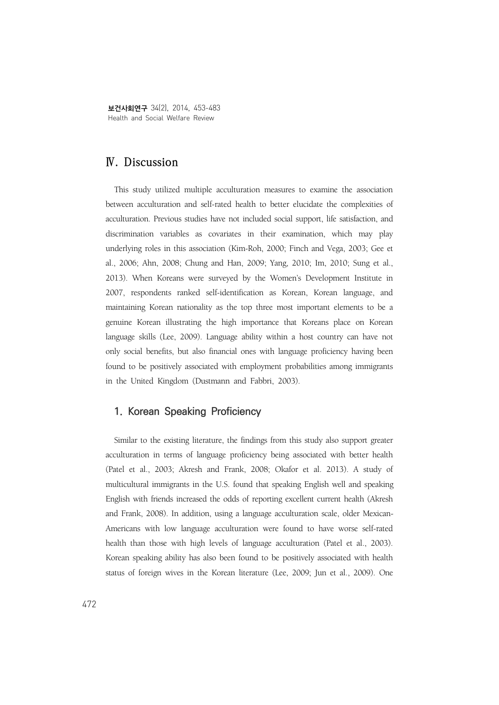보건사회연구 34(2), 2014, 453-483 Health and Social Welfare Review

# **Ⅳ. Discussion**

This study utilized multiple acculturation measures to examine the association between acculturation and self-rated health to better elucidate the complexities of acculturation. Previous studies have not included social support, life satisfaction, and discrimination variables as covariates in their examination, which may play underlying roles in this association (Kim-Roh, 2000; Finch and Vega, 2003; Gee et al., 2006; Ahn, 2008; Chung and Han, 2009; Yang, 2010; Im, 2010; Sung et al., 2013). When Koreans were surveyed by the Women's Development Institute in 2007, respondents ranked self-identification as Korean, Korean language, and maintaining Korean nationality as the top three most important elements to be a genuine Korean illustrating the high importance that Koreans place on Korean language skills (Lee, 2009). Language ability within a host country can have not only social benefits, but also financial ones with language proficiency having been found to be positively associated with employment probabilities among immigrants in the United Kingdom (Dustmann and Fabbri, 2003).

### **1. Korean Speaking Proficiency**

Similar to the existing literature, the findings from this study also support greater acculturation in terms of language proficiency being associated with better health (Patel et al., 2003; Akresh and Frank, 2008; Okafor et al. 2013). A study of multicultural immigrants in the U.S. found that speaking English well and speaking English with friends increased the odds of reporting excellent current health (Akresh and Frank, 2008). In addition, using a language acculturation scale, older Mexican-Americans with low language acculturation were found to have worse self-rated health than those with high levels of language acculturation (Patel et al., 2003). Korean speaking ability has also been found to be positively associated with health status of foreign wives in the Korean literature (Lee, 2009; Jun et al., 2009). One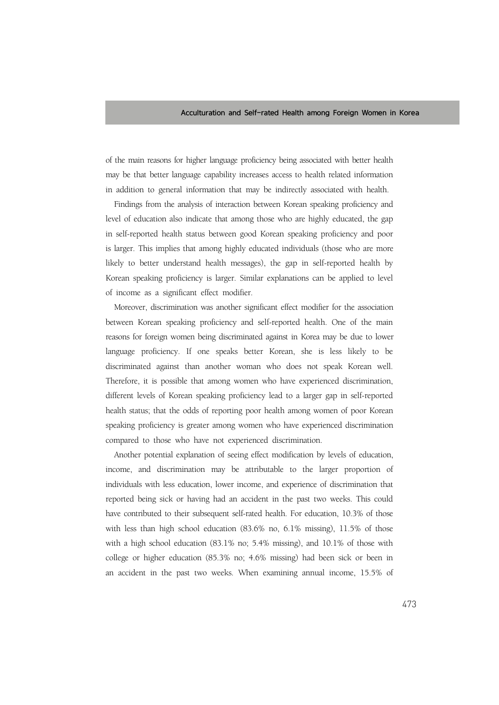of the main reasons for higher language proficiency being associated with better health may be that better language capability increases access to health related information in addition to general information that may be indirectly associated with health.

Findings from the analysis of interaction between Korean speaking proficiency and level of education also indicate that among those who are highly educated, the gap in self-reported health status between good Korean speaking proficiency and poor is larger. This implies that among highly educated individuals (those who are more likely to better understand health messages), the gap in self-reported health by Korean speaking proficiency is larger. Similar explanations can be applied to level of income as a significant effect modifier.

Moreover, discrimination was another significant effect modifier for the association between Korean speaking proficiency and self-reported health. One of the main reasons for foreign women being discriminated against in Korea may be due to lower language proficiency. If one speaks better Korean, she is less likely to be discriminated against than another woman who does not speak Korean well. Therefore, it is possible that among women who have experienced discrimination, different levels of Korean speaking proficiency lead to a larger gap in self-reported health status; that the odds of reporting poor health among women of poor Korean speaking proficiency is greater among women who have experienced discrimination compared to those who have not experienced discrimination.

Another potential explanation of seeing effect modification by levels of education, income, and discrimination may be attributable to the larger proportion of individuals with less education, lower income, and experience of discrimination that reported being sick or having had an accident in the past two weeks. This could have contributed to their subsequent self-rated health. For education, 10.3% of those with less than high school education (83.6% no, 6.1% missing), 11.5% of those with a high school education (83.1% no; 5.4% missing), and 10.1% of those with college or higher education (85.3% no; 4.6% missing) had been sick or been in an accident in the past two weeks. When examining annual income, 15.5% of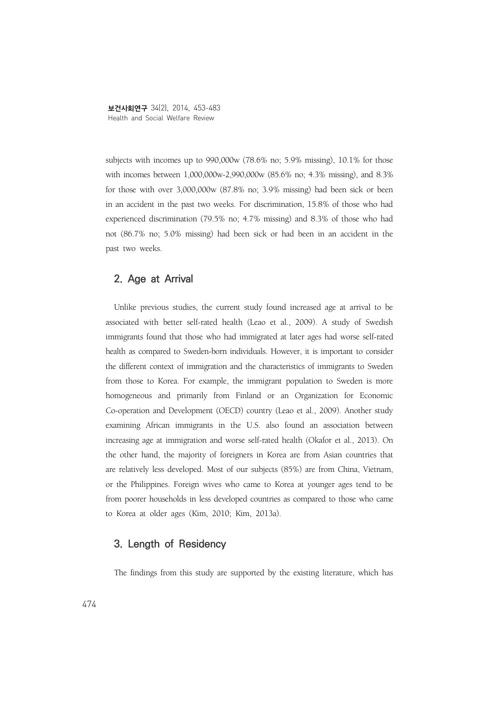subjects with incomes up to 990,000w (78.6% no; 5.9% missing), 10.1% for those with incomes between 1,000,000w-2,990,000w (85.6% no; 4.3% missing), and 8.3% for those with over 3,000,000w (87.8% no; 3.9% missing) had been sick or been in an accident in the past two weeks. For discrimination, 15.8% of those who had experienced discrimination (79.5% no; 4.7% missing) and 8.3% of those who had not (86.7% no; 5.0% missing) had been sick or had been in an accident in the past two weeks.

## **2. Age at Arrival**

Unlike previous studies, the current study found increased age at arrival to be associated with better self-rated health (Leao et al., 2009). A study of Swedish immigrants found that those who had immigrated at later ages had worse self-rated health as compared to Sweden-born individuals. However, it is important to consider the different context of immigration and the characteristics of immigrants to Sweden from those to Korea. For example, the immigrant population to Sweden is more homogeneous and primarily from Finland or an Organization for Economic Co-operation and Development (OECD) country (Leao et al., 2009). Another study examining African immigrants in the U.S. also found an association between increasing age at immigration and worse self-rated health (Okafor et al., 2013). On the other hand, the majority of foreigners in Korea are from Asian countries that are relatively less developed. Most of our subjects (85%) are from China, Vietnam, or the Philippines. Foreign wives who came to Korea at younger ages tend to be from poorer households in less developed countries as compared to those who came to Korea at older ages (Kim, 2010; Kim, 2013a).

## **3. Length of Residency**

The findings from this study are supported by the existing literature, which has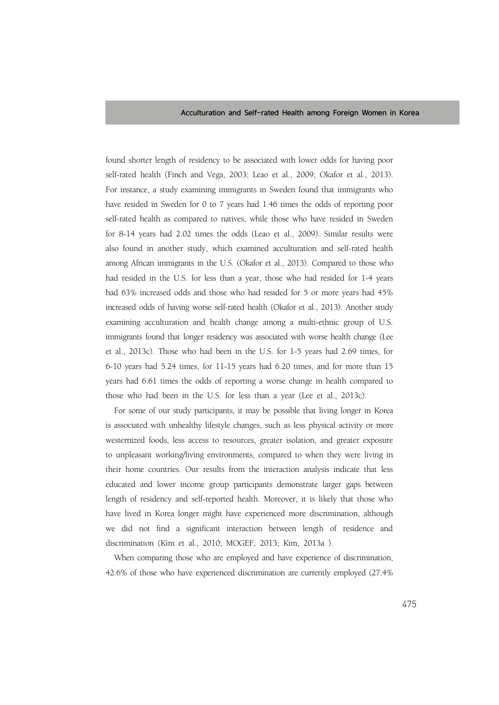found shorter length of residency to be associated with lower odds for having poor self-rated health (Finch and Vega, 2003; Leao et al., 2009; Okafor et al., 2013). For instance, a study examining immigrants in Sweden found that immigrants who have resided in Sweden for 0 to 7 years had 1.46 times the odds of reporting poor self-rated health as compared to natives, while those who have resided in Sweden for 8-14 years had 2.02 times the odds (Leao et al., 2009). Similar results were also found in another study, which examined acculturation and self-rated health among African immigrants in the U.S. (Okafor et al., 2013). Compared to those who had resided in the U.S. for less than a year, those who had resided for 1-4 years had 63% increased odds and those who had resided for 5 or more years had 45% increased odds of having worse self-rated health (Okafor et al., 2013). Another study examining acculturation and health change among a multi-ethnic group of U.S. immigrants found that longer residency was associated with worse health change (Lee et al., 2013c). Those who had been in the U.S. for 1-5 years had 2.69 times, for 6-10 years had 5.24 times, for 11-15 years had 6.20 times, and for more than 15 years had 6.61 times the odds of reporting a worse change in health compared to those who had been in the U.S. for less than a year (Lee et al., 2013c).

For some of our study participants, it may be possible that living longer in Korea is associated with unhealthy lifestyle changes, such as less physical activity or more westernized foods, less access to resources, greater isolation, and greater exposure to unpleasant working/living environments, compared to when they were living in their home countries. Our results from the interaction analysis indicate that less educated and lower income group participants demonstrate larger gaps between length of residency and self-reported health. Moreover, it is likely that those who have lived in Korea longer might have experienced more discrimination, although we did not find a significant interaction between length of residence and discrimination (Kim et al., 2010; MOGEF, 2013; Kim, 2013a ).

When comparing those who are employed and have experience of discrimination, 42.6% of those who have experienced discrimination are currently employed (27.4%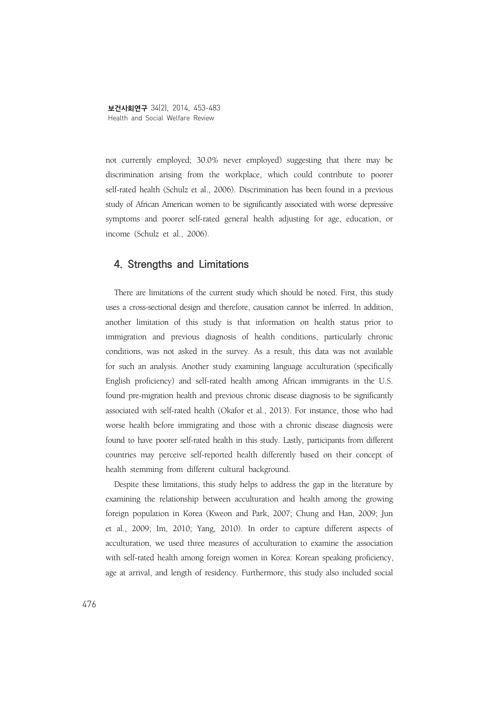not currently employed; 30.0% never employed) suggesting that there may be discrimination arising from the workplace, which could contribute to poorer self-rated health (Schulz et al., 2006). Discrimination has been found in a previous study of African American women to be significantly associated with worse depressive symptoms and poorer self-rated general health adjusting for age, education, or income (Schulz et al., 2006).

# **4. Strengths and Limitations**

There are limitations of the current study which should be noted. First, this study uses a cross-sectional design and therefore, causation cannot be inferred. In addition, another limitation of this study is that information on health status prior to immigration and previous diagnosis of health conditions, particularly chronic conditions, was not asked in the survey. As a result, this data was not available for such an analysis. Another study examining language acculturation (specifically English proficiency) and self-rated health among African immigrants in the U.S. found pre-migration health and previous chronic disease diagnosis to be significantly associated with self-rated health (Okafor et al., 2013). For instance, those who had worse health before immigrating and those with a chronic disease diagnosis were found to have poorer self-rated health in this study. Lastly, participants from different countries may perceive self-reported health differently based on their concept of health stemming from different cultural background.

Despite these limitations, this study helps to address the gap in the literature by examining the relationship between acculturation and health among the growing foreign population in Korea (Kweon and Park, 2007; Chung and Han, 2009; Jun et al., 2009; Im, 2010; Yang, 2010). In order to capture different aspects of acculturation, we used three measures of acculturation to examine the association with self-rated health among foreign women in Korea: Korean speaking proficiency, age at arrival, and length of residency. Furthermore, this study also included social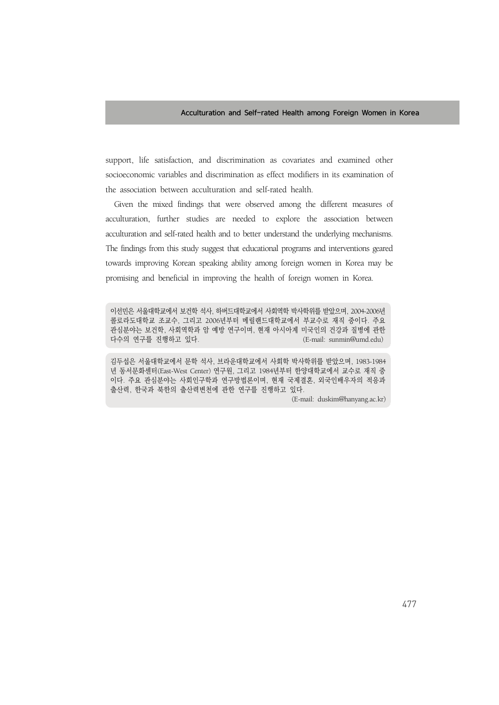support, life satisfaction, and discrimination as covariates and examined other socioeconomic variables and discrimination as effect modifiers in its examination of the association between acculturation and self-rated health.

Given the mixed findings that were observed among the different measures of acculturation, further studies are needed to explore the association between acculturation and self-rated health and to better understand the underlying mechanisms. The findings from this study suggest that educational programs and interventions geared towards improving Korean speaking ability among foreign women in Korea may be promising and beneficial in improving the health of foreign women in Korea.

이선민은 서울대학교에서 보건학 석사, 하버드대학교에서 사회역학 박사학위를 받았으며, 2004-2006년 콜로라도대학교 조교수, 그리고 2006년부터 메릴랜드대학교에서 부교수로 재직 중이다. 주요 관심분야는 보건학, 사회역학과 암 예방 연구이며, 현재 아시아계 미국인의 건강과 질병에 관한 다수의 연구를 진행하고 있다. (E-mail: sunmin@umd.edu)

김두섭은 서울대학교에서 문학 석사, 브라운대학교에서 사회학 박사학위를 받았으며, 1983-1984 년 동서문화센터(East-West Center) 연구원, 그리고 1984년부터 한양대학교에서 교수로 재직 중 이다. 주요 관심분야는 사회인구학과 연구방법론이며, 현재 국제결혼, 외국인배우자의 적응과 출산력, 한국과 북한의 출산력변천에 관한 연구를 진행하고 있다.

(E-mail: duskim@hanyang.ac.kr)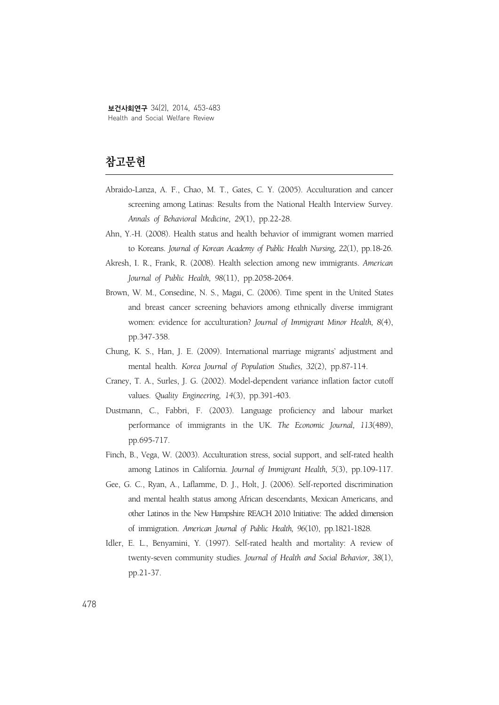# **참고문헌**

- Abraido-Lanza, A. F., Chao, M. T., Gates, C. Y. (2005). Acculturation and cancer screening among Latinas: Results from the National Health Interview Survey. *Annals of Behavioral Medicine, 29*(1), pp.22-28.
- Ahn, Y.-H. (2008). Health status and health behavior of immigrant women married to Koreans. *Journal of Korean Academy of Public Health Nursing, 22*(1), pp.18-26.
- Akresh, I. R., Frank, R. (2008). Health selection among new immigrants. *American Journal of Public Health, 98*(11), pp.2058-2064.
- Brown, W. M., Consedine, N. S., Magai, C. (2006). Time spent in the United States and breast cancer screening behaviors among ethnically diverse immigrant women: evidence for acculturation? *Journal of Immigrant Minor Health, 8*(4), pp.347-358.
- Chung, K. S., Han, J. E. (2009). International marriage migrants' adjustment and mental health. *Korea Journal of Population Studies, 32*(2), pp.87-114.
- Craney, T. A., Surles, J. G. (2002). Model-dependent variance inflation factor cutoff values. *Quality Engineering, 14*(3), pp.391-403.
- Dustmann, C., Fabbri, F. (2003). Language proficiency and labour market performance of immigrants in the UK. *The Economic Journal, 113*(489), pp.695-717.
- Finch, B., Vega, W. (2003). Acculturation stress, social support, and self-rated health among Latinos in California. *Journal of Immigrant Health, 5*(3), pp.109-117.
- Gee, G. C., Ryan, A., Laflamme, D. J., Holt, J. (2006). Self-reported discrimination and mental health status among African descendants, Mexican Americans, and other Latinos in the New Hampshire REACH 2010 Initiative: The added dimension of immigration. *American Journal of Public Health, 96*(10), pp.1821-1828.
- Idler, E. L., Benyamini, Y. (1997). Self-rated health and mortality: A review of twenty-seven community studies. *Journal of Health and Social Behavior, 38*(1), pp.21-37.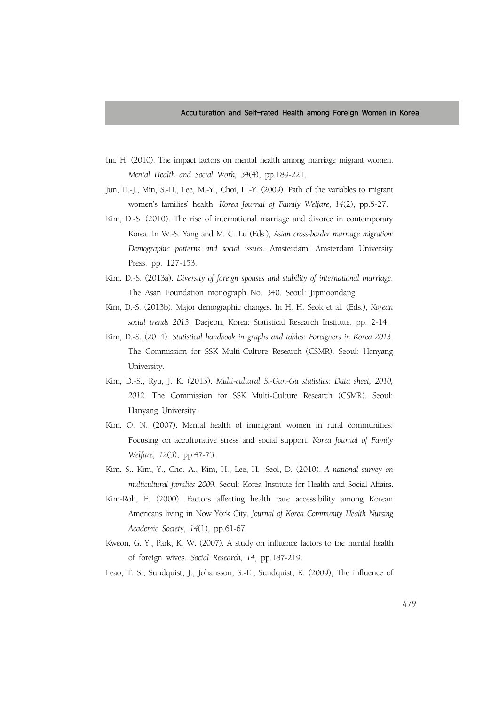- Im, H. (2010). The impact factors on mental health among marriage migrant women. *Mental Health and Social Work, 34*(4), pp.189-221.
- Jun, H.-J., Min, S.-H., Lee, M.-Y., Choi, H.-Y. (2009). Path of the variables to migrant women's families' health. *Korea Journal of Family Welfare, 14*(2), pp.5-27.
- Kim, D.-S. (2010). The rise of international marriage and divorce in contemporary Korea. In W.-S. Yang and M. C. Lu (Eds.), *Asian cross-border marriage migration: Demographic patterns and social issues*. Amsterdam: Amsterdam University Press. pp. 127-153.
- Kim, D.-S. (2013a). *Diversity of foreign spouses and stability of international marriage*. The Asan Foundation monograph No. 340. Seoul: Jipmoondang.
- Kim, D.-S. (2013b). Major demographic changes. In H. H. Seok et al. (Eds.), *Korean social trends 2013*. Daejeon, Korea: Statistical Research Institute. pp. 2-14.
- Kim, D.-S. (2014). *Statistical handbook in graphs and tables: Foreigners in Korea 2013*. The Commission for SSK Multi-Culture Research (CSMR). Seoul: Hanyang University.
- Kim, D.-S., Ryu, J. K. (2013). *Multi-cultural Si-Gun-Gu statistics: Data sheet, 2010, 2012*. The Commission for SSK Multi-Culture Research (CSMR). Seoul: Hanyang University.
- Kim, O. N. (2007). Mental health of immigrant women in rural communities: Focusing on acculturative stress and social support. *Korea Journal of Family Welfare, 12*(3), pp.47-73.
- Kim, S., Kim, Y., Cho, A., Kim, H., Lee, H., Seol, D. (2010). *A national survey on multicultural families 2009*. Seoul: Korea Institute for Health and Social Affairs.
- Kim-Roh, E. (2000). Factors affecting health care accessibility among Korean Americans living in Now York City. *Journal of Korea Community Health Nursing Academic Society, 14*(1), pp.61-67.
- Kweon, G. Y., Park, K. W. (2007). A study on influence factors to the mental health of foreign wives. *Social Research, 14*, pp.187-219.
- Leao, T. S., Sundquist, J., Johansson, S.-E., Sundquist, K. (2009), The influence of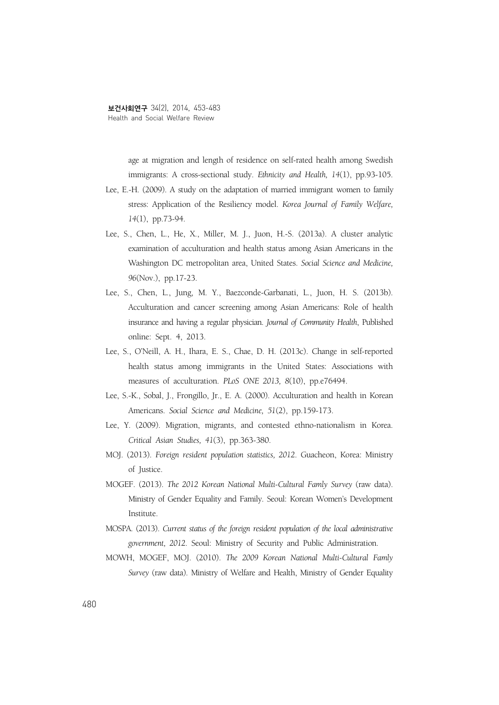age at migration and length of residence on self-rated health among Swedish immigrants: A cross-sectional study. *Ethnicity and Health, 14*(1), pp.93-105.

- Lee, E.-H. (2009). A study on the adaptation of married immigrant women to family stress: Application of the Resiliency model. *Korea Journal of Family Welfare, 14*(1), pp.73-94.
- Lee, S., Chen, L., He, X., Miller, M. J., Juon, H.-S. (2013a). A cluster analytic examination of acculturation and health status among Asian Americans in the Washington DC metropolitan area, United States. *Social Science and Medicine, 96*(Nov.), pp.17-23.
- Lee, S., Chen, L., Jung, M. Y., Baezconde-Garbanati, L., Juon, H. S. (2013b). Acculturation and cancer screening among Asian Americans: Role of health insurance and having a regular physician. *Journal of Community Health*, Published online: Sept. 4, 2013.
- Lee, S., O'Neill, A. H., Ihara, E. S., Chae, D. H. (2013c). Change in self-reported health status among immigrants in the United States: Associations with measures of acculturation. *PLoS ONE 2013, 8*(10), pp.e76494.
- Lee, S.-K., Sobal, J., Frongillo, Jr., E. A. (2000). Acculturation and health in Korean Americans. *Social Science and Medicine, 51*(2), pp.159-173.
- Lee, Y. (2009). Migration, migrants, and contested ethno-nationalism in Korea. *Critical Asian Studies, 41*(3), pp.363-380.
- MOJ. (2013). *Foreign resident population statistics, 2012*. Guacheon, Korea: Ministry of Justice.
- MOGEF. (2013). *The 2012 Korean National Multi-Cultural Famly Survey* (raw data). Ministry of Gender Equality and Family. Seoul: Korean Women's Development Institute.
- MOSPA. (2013). *Current status of the foreign resident population of the local administrative government, 2012*. Seoul: Ministry of Security and Public Administration.
- MOWH, MOGEF, MOJ. (2010). *The 2009 Korean National Multi-Cultural Famly Survey* (raw data). Ministry of Welfare and Health, Ministry of Gender Equality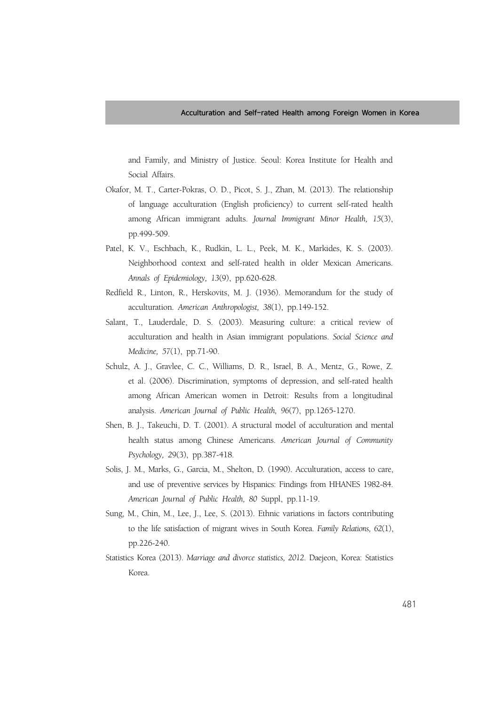and Family, and Ministry of Justice. Seoul: Korea Institute for Health and Social Affairs.

- Okafor, M. T., Carter-Pokras, O. D., Picot, S. J., Zhan, M. (2013). The relationship of language acculturation (English proficiency) to current self-rated health among African immigrant adults. *Journal Immigrant Minor Health, 15*(3), pp.499-509.
- Patel, K. V., Eschbach, K., Rudkin, L. L., Peek, M. K., Markides, K. S. (2003). Neighborhood context and self-rated health in older Mexican Americans. *Annals of Epidemiology, 13*(9), pp.620-628.
- Redfield R., Linton, R., Herskovits, M. J. (1936). Memorandum for the study of acculturation. *American Anthropologist, 38*(1), pp.149-152.
- Salant, T., Lauderdale, D. S. (2003). Measuring culture: a critical review of acculturation and health in Asian immigrant populations. *Social Science and Medicine, 57*(1), pp.71-90.
- Schulz, A. J., Gravlee, C. C., Williams, D. R., Israel, B. A., Mentz, G., Rowe, Z. et al. (2006). Discrimination, symptoms of depression, and self-rated health among African American women in Detroit: Results from a longitudinal analysis. *American Journal of Public Health, 96*(7), pp.1265-1270.
- Shen, B. J., Takeuchi, D. T. (2001). A structural model of acculturation and mental health status among Chinese Americans. *American Journal of Community Psychology, 2*9(3), pp.387-418.
- Solis, J. M., Marks, G., Garcia, M., Shelton, D. (1990). Acculturation, access to care, and use of preventive services by Hispanics: Findings from HHANES 1982-84. *American Journal of Public Health, 80* Suppl, pp.11-19.
- Sung, M., Chin, M., Lee, J., Lee, S. (2013). Ethnic variations in factors contributing to the life satisfaction of migrant wives in South Korea. *Family Relations, 62*(1), pp.226-240.
- Statistics Korea (2013). *Marriage and divorce statistics, 2012*. Daejeon, Korea: Statistics Korea.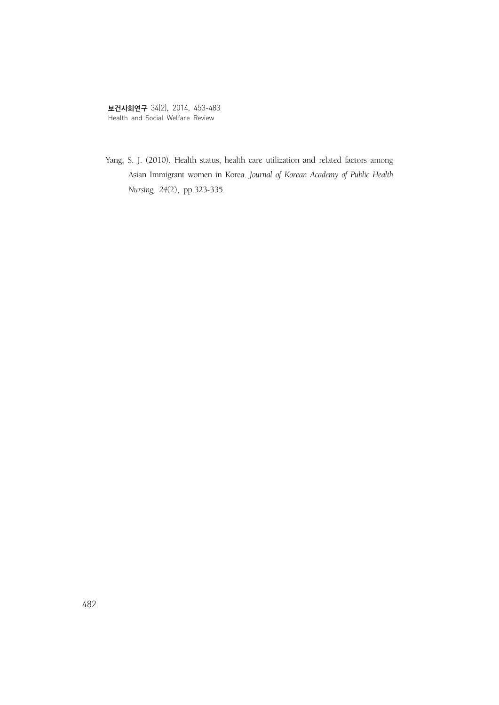Yang, S. J. (2010). Health status, health care utilization and related factors among Asian Immigrant women in Korea. *Journal of Korean Academy of Public Health Nursing, 24*(2), pp.323-335.